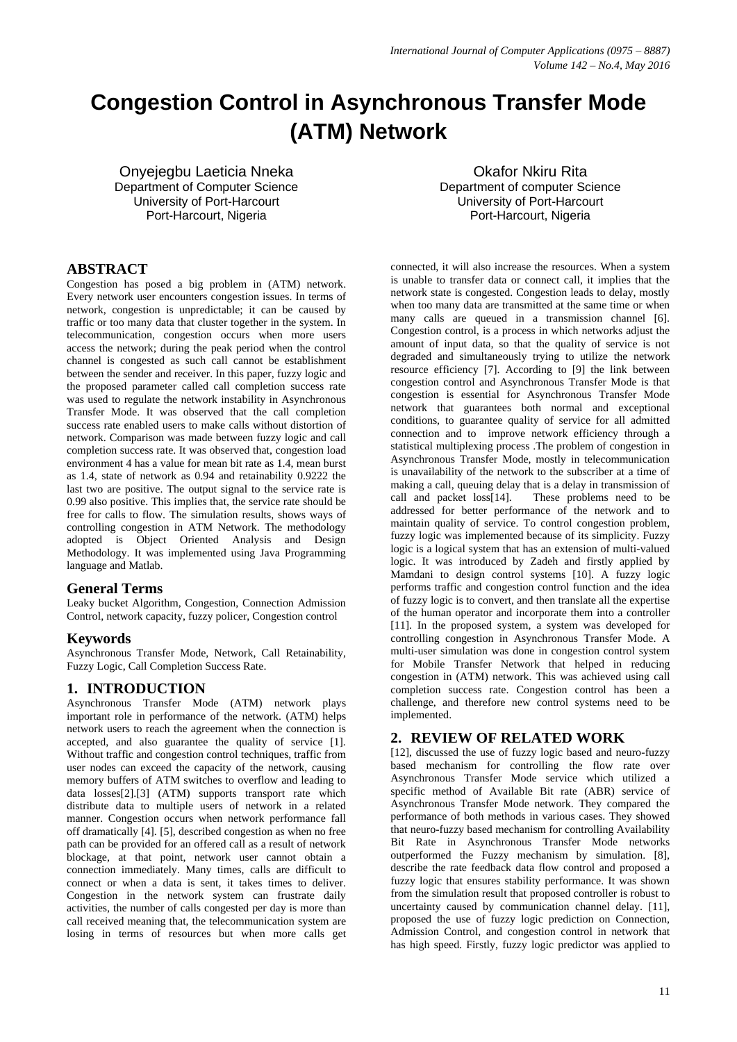# **Congestion Control in Asynchronous Transfer Mode (ATM) Network**

Onyejegbu Laeticia Nneka Department of Computer Science University of Port-Harcourt Port-Harcourt, Nigeria

Okafor Nkiru Rita Department of computer Science University of Port-Harcourt Port-Harcourt, Nigeria

# **ABSTRACT**

Congestion has posed a big problem in (ATM) network. Every network user encounters congestion issues. In terms of network, congestion is unpredictable; it can be caused by traffic or too many data that cluster together in the system. In telecommunication, congestion occurs when more users access the network; during the peak period when the control channel is congested as such call cannot be establishment between the sender and receiver. In this paper, fuzzy logic and the proposed parameter called call completion success rate was used to regulate the network instability in Asynchronous Transfer Mode. It was observed that the call completion success rate enabled users to make calls without distortion of network. Comparison was made between fuzzy logic and call completion success rate. It was observed that, congestion load environment 4 has a value for mean bit rate as 1.4, mean burst as 1.4, state of network as 0.94 and retainability 0.9222 the last two are positive. The output signal to the service rate is 0.99 also positive. This implies that, the service rate should be free for calls to flow. The simulation results, shows ways of controlling congestion in ATM Network. The methodology adopted is Object Oriented Analysis and Design Methodology. It was implemented using Java Programming language and Matlab.

#### **General Terms**

Leaky bucket Algorithm, Congestion, Connection Admission Control, network capacity, fuzzy policer, Congestion control

# **Keywords**

Asynchronous Transfer Mode, Network, Call Retainability, Fuzzy Logic, Call Completion Success Rate.

# **1. INTRODUCTION**

Asynchronous Transfer Mode (ATM) network plays important role in performance of the network. (ATM) helps network users to reach the agreement when the connection is accepted, and also guarantee the quality of service [1]. Without traffic and congestion control techniques, traffic from user nodes can exceed the capacity of the network, causing memory buffers of ATM switches to overflow and leading to data losses[2].[3] (ATM) supports transport rate which distribute data to multiple users of network in a related manner. Congestion occurs when network performance fall off dramatically [4]. [5], described congestion as when no free path can be provided for an offered call as a result of network blockage, at that point, network user cannot obtain a connection immediately. Many times, calls are difficult to connect or when a data is sent, it takes times to deliver. Congestion in the network system can frustrate daily activities, the number of calls congested per day is more than call received meaning that, the telecommunication system are losing in terms of resources but when more calls get

connected, it will also increase the resources. When a system is unable to transfer data or connect call, it implies that the network state is congested. Congestion leads to delay, mostly when too many data are transmitted at the same time or when many calls are queued in a transmission channel [6]. Congestion control, is a process in which networks adjust the amount of input data, so that the quality of service is not degraded and simultaneously trying to utilize the network resource efficiency [7]. According to [9] the link between congestion control and Asynchronous Transfer Mode is that congestion is essential for Asynchronous Transfer Mode network that guarantees both normal and exceptional conditions, to guarantee quality of service for all admitted connection and to improve network efficiency through a statistical multiplexing process .The problem of congestion in Asynchronous Transfer Mode, mostly in telecommunication is unavailability of the network to the subscriber at a time of making a call, queuing delay that is a delay in transmission of call and packet loss[14]. These problems need to be addressed for better performance of the network and to maintain quality of service. To control congestion problem, fuzzy logic was implemented because of its simplicity. Fuzzy logic is a logical system that has an extension of multi-valued logic. It was introduced by Zadeh and firstly applied by Mamdani to design control systems [10]. A fuzzy logic performs traffic and congestion control function and the idea of fuzzy logic is to convert, and then translate all the expertise of the human operator and incorporate them into a controller [11]. In the proposed system, a system was developed for controlling congestion in Asynchronous Transfer Mode. A multi-user simulation was done in congestion control system for Mobile Transfer Network that helped in reducing congestion in (ATM) network. This was achieved using call completion success rate. Congestion control has been a challenge, and therefore new control systems need to be implemented.

# **2. REVIEW OF RELATED WORK**

[12], discussed the use of fuzzy logic based and neuro-fuzzy based mechanism for controlling the flow rate over Asynchronous Transfer Mode service which utilized a specific method of Available Bit rate (ABR) service of Asynchronous Transfer Mode network. They compared the performance of both methods in various cases. They showed that neuro-fuzzy based mechanism for controlling Availability Bit Rate in Asynchronous Transfer Mode networks outperformed the Fuzzy mechanism by simulation. [8], describe the rate feedback data flow control and proposed a fuzzy logic that ensures stability performance. It was shown from the simulation result that proposed controller is robust to uncertainty caused by communication channel delay. [11], proposed the use of fuzzy logic prediction on Connection, Admission Control, and congestion control in network that has high speed. Firstly, fuzzy logic predictor was applied to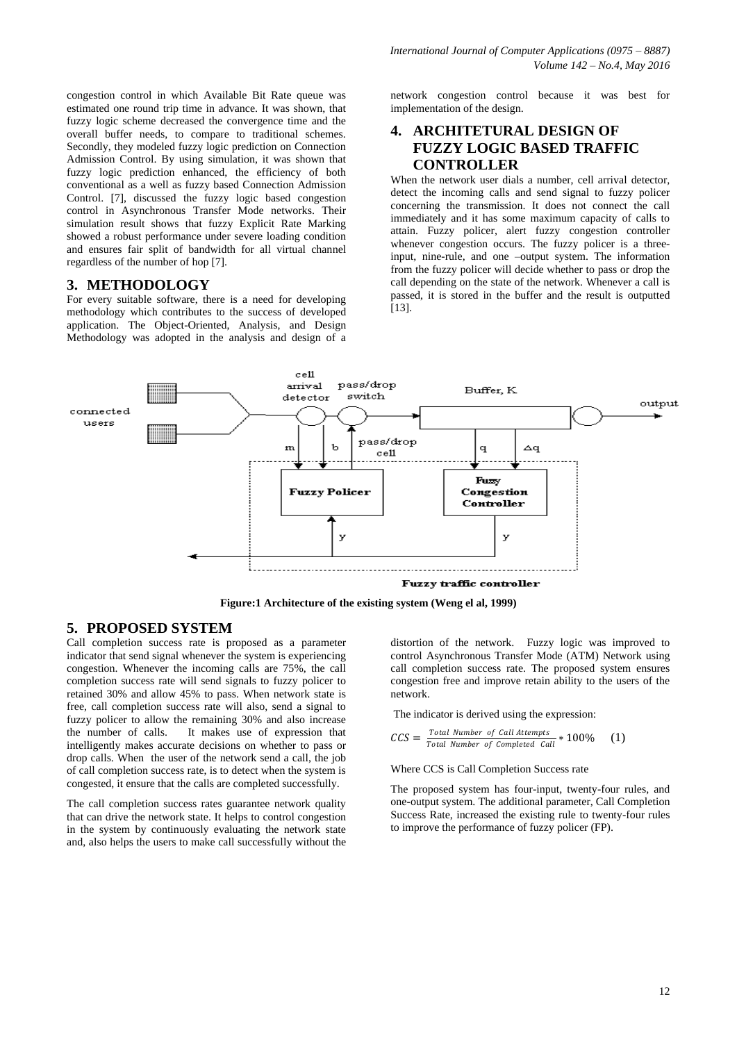congestion control in which Available Bit Rate queue was estimated one round trip time in advance. It was shown, that fuzzy logic scheme decreased the convergence time and the overall buffer needs, to compare to traditional schemes. Secondly, they modeled fuzzy logic prediction on Connection Admission Control. By using simulation, it was shown that fuzzy logic prediction enhanced, the efficiency of both conventional as a well as fuzzy based Connection Admission Control. [7], discussed the fuzzy logic based congestion control in Asynchronous Transfer Mode networks. Their simulation result shows that fuzzy Explicit Rate Marking showed a robust performance under severe loading condition and ensures fair split of bandwidth for all virtual channel regardless of the number of hop [7].

### **3. METHODOLOGY**

For every suitable software, there is a need for developing methodology which contributes to the success of developed application. The Object-Oriented, Analysis, and Design Methodology was adopted in the analysis and design of a network congestion control because it was best for implementation of the design.

# **4. ARCHITETURAL DESIGN OF FUZZY LOGIC BASED TRAFFIC CONTROLLER**

When the network user dials a number, cell arrival detector, detect the incoming calls and send signal to fuzzy policer concerning the transmission. It does not connect the call immediately and it has some maximum capacity of calls to attain. Fuzzy policer, alert fuzzy congestion controller whenever congestion occurs. The fuzzy policer is a threeinput, nine-rule, and one –output system. The information from the fuzzy policer will decide whether to pass or drop the call depending on the state of the network. Whenever a call is passed, it is stored in the buffer and the result is outputted [13].



**Figure:1 Architecture of the existing system (Weng el al, 1999)**

# **5. PROPOSED SYSTEM**

Call completion success rate is proposed as a parameter indicator that send signal whenever the system is experiencing congestion. Whenever the incoming calls are 75%, the call completion success rate will send signals to fuzzy policer to retained 30% and allow 45% to pass. When network state is free, call completion success rate will also, send a signal to fuzzy policer to allow the remaining 30% and also increase the number of calls. It makes use of expression that intelligently makes accurate decisions on whether to pass or drop calls. When the user of the network send a call, the job of call completion success rate, is to detect when the system is congested, it ensure that the calls are completed successfully.

The call completion success rates guarantee network quality that can drive the network state. It helps to control congestion in the system by continuously evaluating the network state and, also helps the users to make call successfully without the

distortion of the network. Fuzzy logic was improved to control Asynchronous Transfer Mode (ATM) Network using call completion success rate. The proposed system ensures congestion free and improve retain ability to the users of the network.

The indicator is derived using the expression:

$$
CCS = \frac{Total Number of Call Attemps}{Total Number of Completed Call} * 100\% (1)
$$

### Where CCS is Call Completion Success rate

The proposed system has four-input, twenty-four rules, and one-output system. The additional parameter, Call Completion Success Rate, increased the existing rule to twenty-four rules to improve the performance of fuzzy policer (FP).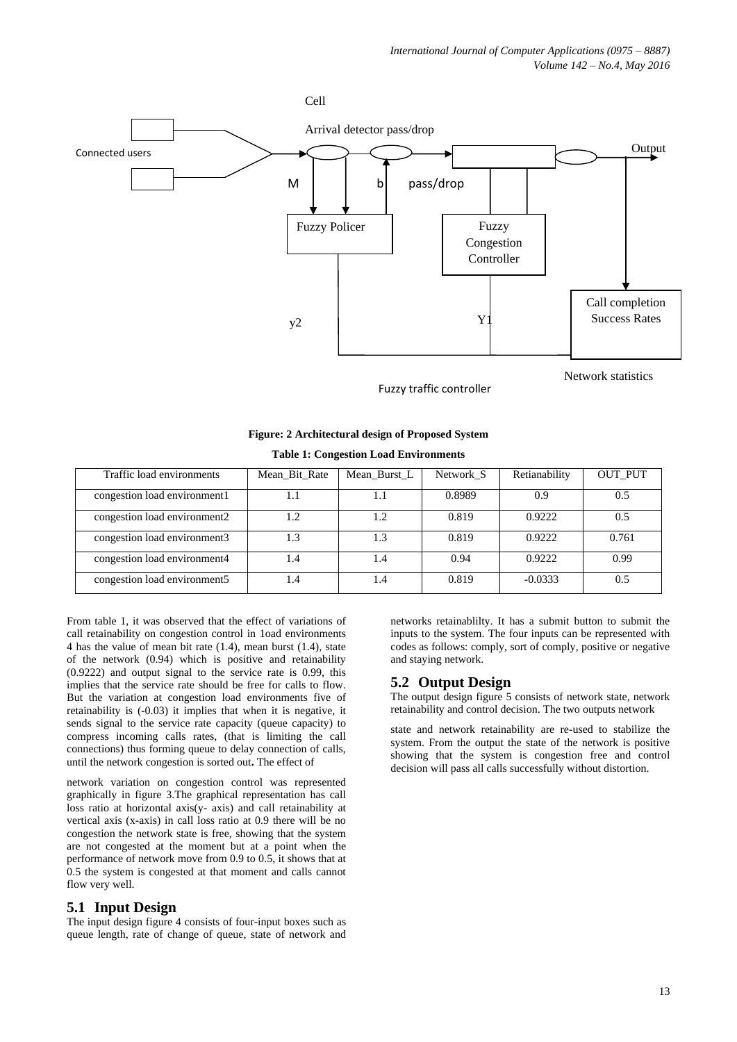

Fuzzy traffic controller

Network statistics

| Figure: 2 Architectural design of Proposed System |  |  |  |
|---------------------------------------------------|--|--|--|
|---------------------------------------------------|--|--|--|

#### **Table 1: Congestion Load Environments**

| Traffic load environments    | Mean Bit Rate | Mean Burst L | Network S | Retianability | <b>OUT_PUT</b> |
|------------------------------|---------------|--------------|-----------|---------------|----------------|
| congestion load environment1 | 1.1           | 1.1          | 0.8989    | 0.9           | 0.5            |
| congestion load environment2 | 1.2           | 1.2          | 0.819     | 0.9222        | 0.5            |
| congestion load environment3 | 1.3           | 1.3          | 0.819     | 0.9222        | 0.761          |
| congestion load environment4 | 1.4           | 1.4          | 0.94      | 0.9222        | 0.99           |
| congestion load environment5 | l.4           | - 4          | 0.819     | $-0.0333$     | 0.5            |

From table 1, it was observed that the effect of variations of call retainability on congestion control in 1oad environments 4 has the value of mean bit rate (1.4), mean burst (1.4), state of the network (0.94) which is positive and retainability (0.9222) and output signal to the service rate is 0.99, this implies that the service rate should be free for calls to flow. But the variation at congestion load environments five of retainability is (-0.03) it implies that when it is negative, it sends signal to the service rate capacity (queue capacity) to compress incoming calls rates, (that is limiting the call connections) thus forming queue to delay connection of calls, until the network congestion is sorted out**.** The effect of

network variation on congestion control was represented graphically in figure 3.The graphical representation has call loss ratio at horizontal axis(y- axis) and call retainability at vertical axis (x-axis) in call loss ratio at 0.9 there will be no congestion the network state is free, showing that the system are not congested at the moment but at a point when the performance of network move from 0.9 to 0.5, it shows that at 0.5 the system is congested at that moment and calls cannot flow very well.

#### **5.1 Input Design**

The input design figure 4 consists of four-input boxes such as queue length, rate of change of queue, state of network and networks retainablilty. It has a submit button to submit the inputs to the system. The four inputs can be represented with codes as follows: comply, sort of comply, positive or negative and staying network.

# **5.2 Output Design**

The output design figure 5 consists of network state, network retainability and control decision. The two outputs network

state and network retainability are re-used to stabilize the system. From the output the state of the network is positive showing that the system is congestion free and control decision will pass all calls successfully without distortion.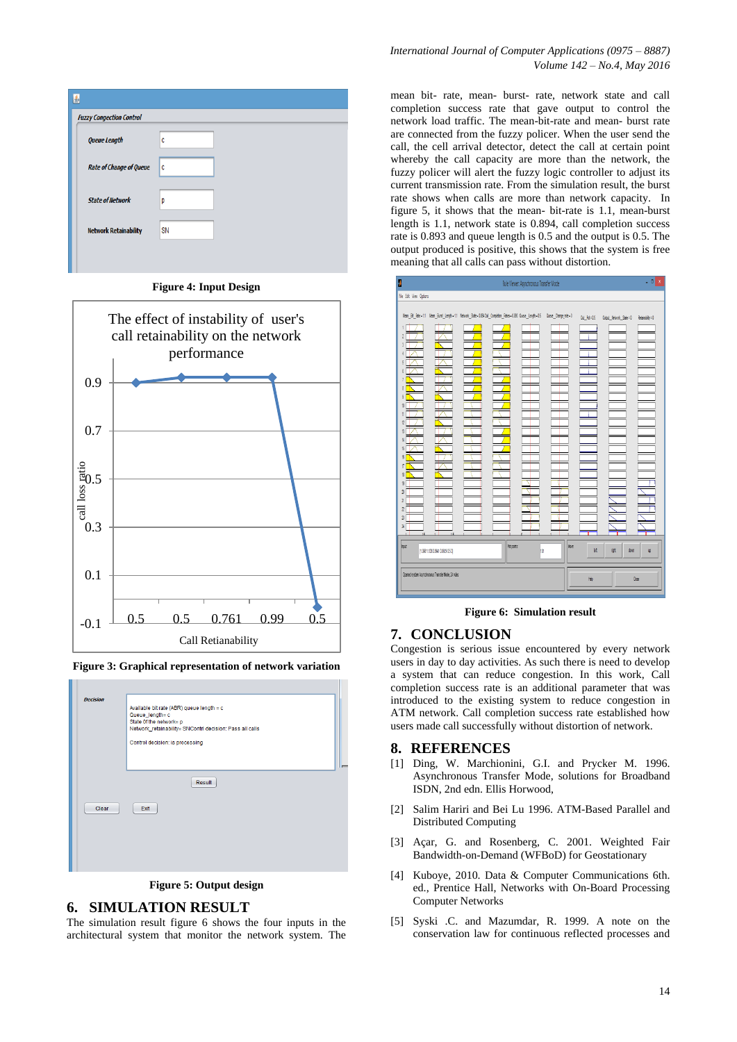





**Figure 3: Graphical representation of network variation**



**Figure 5: Output design**

#### **6. SIMULATION RESULT**

The simulation result figure 6 shows the four inputs in the architectural system that monitor the network system. The mean bit- rate, mean- burst- rate, network state and call completion success rate that gave output to control the network load traffic. The mean-bit-rate and mean- burst rate are connected from the fuzzy policer. When the user send the call, the cell arrival detector, detect the call at certain point whereby the call capacity are more than the network, the fuzzy policer will alert the fuzzy logic controller to adjust its current transmission rate. From the simulation result, the burst rate shows when calls are more than network capacity. In figure 5, it shows that the mean- bit-rate is 1.1, mean-burst length is 1.1, network state is 0.894, call completion success rate is 0.893 and queue length is 0.5 and the output is 0.5. The output produced is positive, this shows that the system is free meaning that all calls can pass without distortion.



**Figure 6: Simulation result**

#### **7. CONCLUSION**

Congestion is serious issue encountered by every network users in day to day activities. As such there is need to develop a system that can reduce congestion. In this work, Call completion success rate is an additional parameter that was introduced to the existing system to reduce congestion in ATM network. Call completion success rate established how users made call successfully without distortion of network.

#### **8. REFERENCES**

- [1] Ding, W. Marchionini, G.I. and Prycker M. 1996. Asynchronous Transfer Mode, solutions for Broadband ISDN, 2nd edn. Ellis Horwood,
- [2] Salim Hariri and Bei Lu 1996. ATM-Based Parallel and Distributed Computing
- [3] Açar, G. and Rosenberg, C. 2001. Weighted Fair Bandwidth-on-Demand (WFBoD) for Geostationary
- [4] Kuboye, 2010. Data & Computer Communications 6th. ed., Prentice Hall, Networks with On-Board Processing Computer Networks
- [5] Syski .C. and Mazumdar, R. 1999. A note on the conservation law for continuous reflected processes and